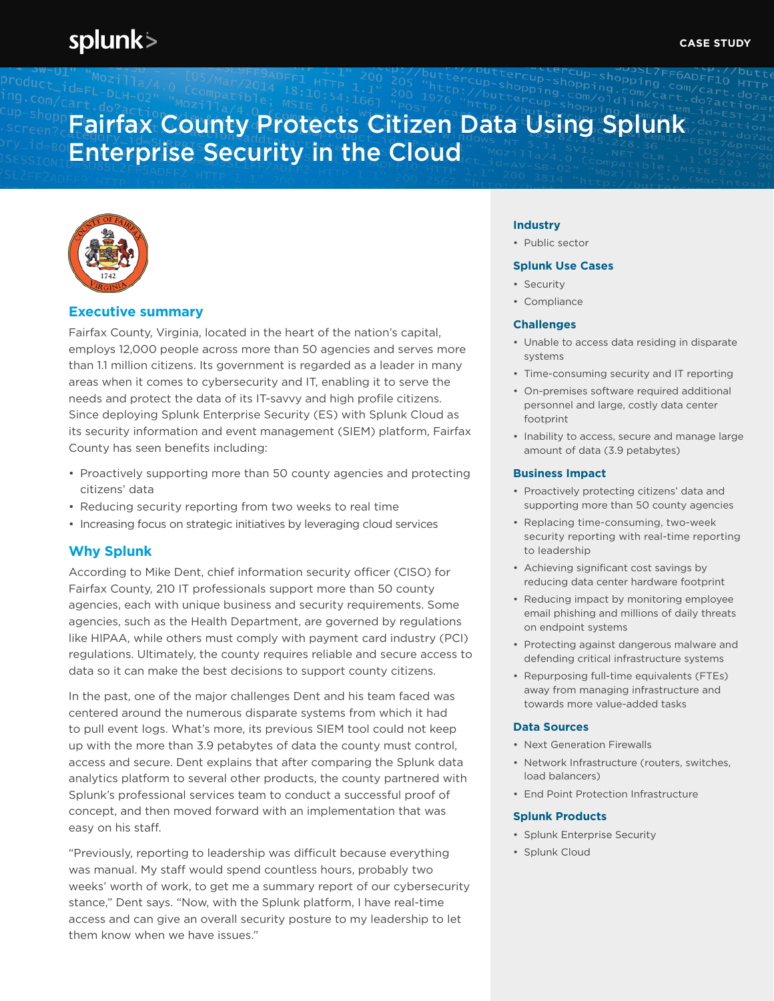# splunk>

# Fairfax County Protects Citizen Data Using Splunk Enterprise Security in the Cloud



### **Executive summary**

Fairfax County, Virginia, located in the heart of the nation's capital, employs 12,000 people across more than 50 agencies and serves more than 1.1 million citizens. Its government is regarded as a leader in many areas when it comes to cybersecurity and IT, enabling it to serve the needs and protect the data of its IT-savvy and high profile citizens. Since deploying Splunk Enterprise Security (ES) with Splunk Cloud as its security information and event management (SIEM) platform, Fairfax County has seen benefits including:

- Proactively supporting more than 50 county agencies and protecting citizens' data
- Reducing security reporting from two weeks to real time
- Increasing focus on strategic initiatives by leveraging cloud services

## **Why Splunk**

According to Mike Dent, chief information security officer (CISO) for Fairfax County, 210 IT professionals support more than 50 county agencies, each with unique business and security requirements. Some agencies, such as the Health Department, are governed by regulations like HIPAA, while others must comply with payment card industry (PCI) regulations. Ultimately, the county requires reliable and secure access to data so it can make the best decisions to support county citizens.

In the past, one of the major challenges Dent and his team faced was centered around the numerous disparate systems from which it had to pull event logs. What's more, its previous SIEM tool could not keep up with the more than 3.9 petabytes of data the county must control, access and secure. Dent explains that after comparing the Splunk data analytics platform to several other products, the county partnered with Splunk's professional services team to conduct a successful proof of concept, and then moved forward with an implementation that was easy on his staff.

"Previously, reporting to leadership was difficult because everything was manual. My staff would spend countless hours, probably two weeks' worth of work, to get me a summary report of our cybersecurity stance," Dent says. "Now, with the Splunk platform, I have real-time access and can give an overall security posture to my leadership to let them know when we have issues."

#### **Industry**

• Public sector

#### **Splunk Use Cases**

- Security
- Compliance

#### **Challenges**

- Unable to access data residing in disparate systems
- Time-consuming security and IT reporting
- On-premises software required additional personnel and large, costly data center footprint
- Inability to access, secure and manage large amount of data (3.9 petabytes)

#### **Business Impact**

- Proactively protecting citizens' data and supporting more than 50 county agencies
- Replacing time-consuming, two-week security reporting with real-time reporting to leadership
- Achieving significant cost savings by reducing data center hardware footprint
- Reducing impact by monitoring employee email phishing and millions of daily threats on endpoint systems
- Protecting against dangerous malware and defending critical infrastructure systems
- Repurposing full-time equivalents (FTEs) away from managing infrastructure and towards more value-added tasks

#### **Data Sources**

- Next Generation Firewalls
- Network Infrastructure (routers, switches, load balancers)
- End Point Protection Infrastructure

#### **Splunk Products**

- Splunk Enterprise Security
- Splunk Cloud